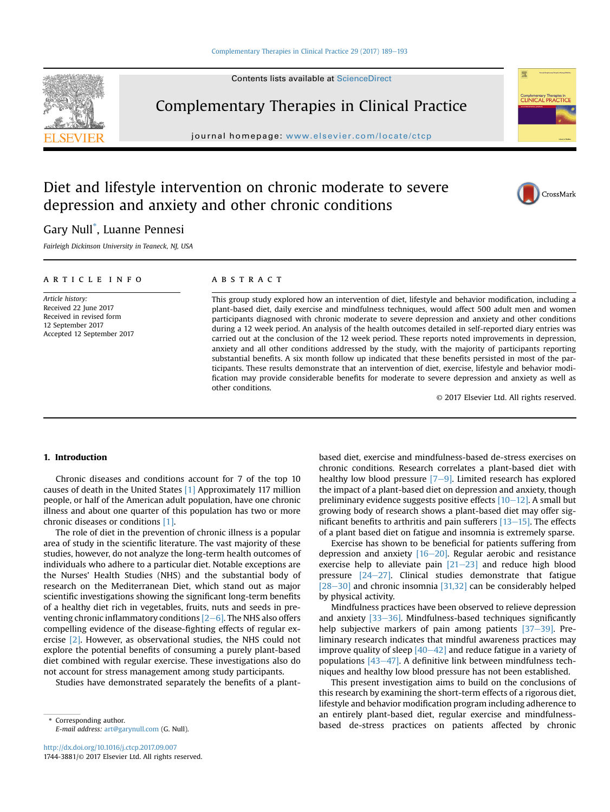#### [Complementary Therapies in Clinical Practice 29 \(2017\) 189](https://doi.org/10.1016/j.ctcp.2017.09.007)-[193](https://doi.org/10.1016/j.ctcp.2017.09.007)



Complementary Therapies in Clinical Practice

journal homepage: [www.elsevier.com/locate/ctcp](http://www.elsevier.com/locate/ctcp)

# Diet and lifestyle intervention on chronic moderate to severe depression and anxiety and other chronic conditions



## Gary Null\* , Luanne Pennesi

Fairleigh Dickinson University in Teaneck, NJ, USA

## article info

Article history: Received 22 June 2017 Received in revised form 12 September 2017 Accepted 12 September 2017

#### **ABSTRACT**

This group study explored how an intervention of diet, lifestyle and behavior modification, including a plant-based diet, daily exercise and mindfulness techniques, would affect 500 adult men and women participants diagnosed with chronic moderate to severe depression and anxiety and other conditions during a 12 week period. An analysis of the health outcomes detailed in self-reported diary entries was carried out at the conclusion of the 12 week period. These reports noted improvements in depression, anxiety and all other conditions addressed by the study, with the majority of participants reporting substantial benefits. A six month follow up indicated that these benefits persisted in most of the participants. These results demonstrate that an intervention of diet, exercise, lifestyle and behavior modification may provide considerable benefits for moderate to severe depression and anxiety as well as other conditions.

© 2017 Elsevier Ltd. All rights reserved.

## 1. Introduction

Chronic diseases and conditions account for 7 of the top 10 causes of death in the United States [\[1\]](#page-4-0) Approximately 117 million people, or half of the American adult population, have one chronic illness and about one quarter of this population has two or more chronic diseases or conditions [\[1\].](#page-4-0)

The role of diet in the prevention of chronic illness is a popular area of study in the scientific literature. The vast majority of these studies, however, do not analyze the long-term health outcomes of individuals who adhere to a particular diet. Notable exceptions are the Nurses' Health Studies (NHS) and the substantial body of research on the Mediterranean Diet, which stand out as major scientific investigations showing the significant long-term benefits of a healthy diet rich in vegetables, fruits, nuts and seeds in preventing chronic inflammatory conditions  $[2-6]$  $[2-6]$  $[2-6]$ . The NHS also offers compelling evidence of the disease-fighting effects of regular exercise [\[2\]](#page-4-0). However, as observational studies, the NHS could not explore the potential benefits of consuming a purely plant-based diet combined with regular exercise. These investigations also do not account for stress management among study participants.

Studies have demonstrated separately the benefits of a plant-

based diet, exercise and mindfulness-based de-stress exercises on chronic conditions. Research correlates a plant-based diet with healthy low blood pressure  $[7-9]$  $[7-9]$  $[7-9]$ . Limited research has explored the impact of a plant-based diet on depression and anxiety, though preliminary evidence suggests positive effects  $[10-12]$  $[10-12]$ . A small but growing body of research shows a plant-based diet may offer significant benefits to arthritis and pain sufferers  $[13-15]$  $[13-15]$ . The effects of a plant based diet on fatigue and insomnia is extremely sparse.

Exercise has shown to be beneficial for patients suffering from depression and anxiety  $[16-20]$  $[16-20]$  $[16-20]$ . Regular aerobic and resistance exercise help to alleviate pain  $[21-23]$  $[21-23]$  $[21-23]$  and reduce high blood pressure  $[24-27]$  $[24-27]$ . Clinical studies demonstrate that fatigue  $[28-30]$  $[28-30]$  $[28-30]$  and chronic insomnia  $[31,32]$  can be considerably helped by physical activity.

Mindfulness practices have been observed to relieve depression and anxiety  $[33-36]$  $[33-36]$ . Mindfulness-based techniques significantly help subjective markers of pain among patients  $[37-39]$  $[37-39]$  $[37-39]$ . Preliminary research indicates that mindful awareness practices may improve quality of sleep  $[40-42]$  $[40-42]$  $[40-42]$  and reduce fatigue in a variety of populations  $[43-47]$  $[43-47]$ . A definitive link between mindfulness techniques and healthy low blood pressure has not been established.

This present investigation aims to build on the conclusions of this research by examining the short-term effects of a rigorous diet, lifestyle and behavior modification program including adherence to an entirely plant-based diet, regular exercise and mindfulness-Corresponding author.<br>
E-mail address: art@ganmull.com (C. Null) based de-stress practices on patients affected by chronic

E-mail address: [art@garynull.com](mailto:art@garynull.com) (G. Null).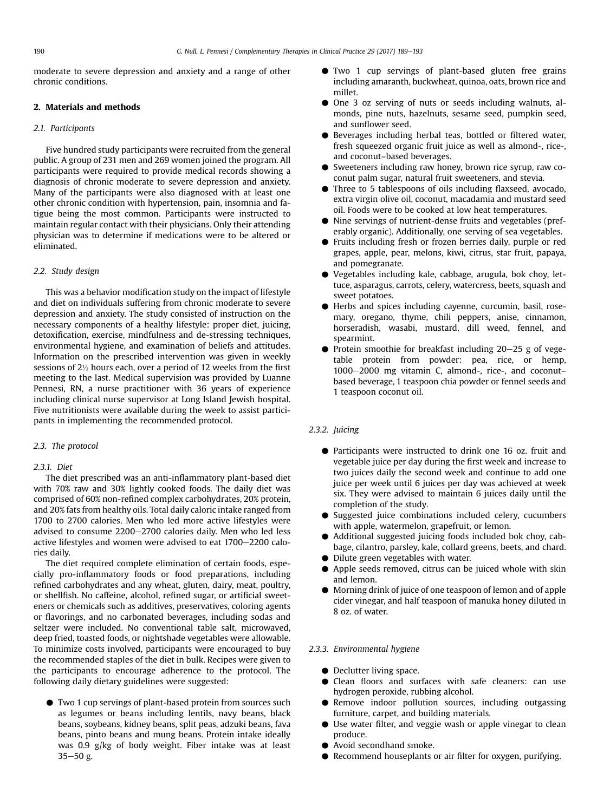moderate to severe depression and anxiety and a range of other chronic conditions.

## 2. Materials and methods

## 2.1. Participants

Five hundred study participants were recruited from the general public. A group of 231 men and 269 women joined the program. All participants were required to provide medical records showing a diagnosis of chronic moderate to severe depression and anxiety. Many of the participants were also diagnosed with at least one other chronic condition with hypertension, pain, insomnia and fatigue being the most common. Participants were instructed to maintain regular contact with their physicians. Only their attending physician was to determine if medications were to be altered or eliminated.

#### 2.2. Study design

This was a behavior modification study on the impact of lifestyle and diet on individuals suffering from chronic moderate to severe depression and anxiety. The study consisted of instruction on the necessary components of a healthy lifestyle: proper diet, juicing, detoxification, exercise, mindfulness and de-stressing techniques, environmental hygiene, and examination of beliefs and attitudes. Information on the prescribed intervention was given in weekly sessions of 2½ hours each, over a period of 12 weeks from the first meeting to the last. Medical supervision was provided by Luanne Pennesi, RN, a nurse practitioner with 36 years of experience including clinical nurse supervisor at Long Island Jewish hospital. Five nutritionists were available during the week to assist participants in implementing the recommended protocol.

#### 2.3. The protocol

#### 2.3.1. Diet

The diet prescribed was an anti-inflammatory plant-based diet with 70% raw and 30% lightly cooked foods. The daily diet was comprised of 60% non-refined complex carbohydrates, 20% protein, and 20% fats from healthy oils. Total daily caloric intake ranged from 1700 to 2700 calories. Men who led more active lifestyles were advised to consume 2200-2700 calories daily. Men who led less active lifestyles and women were advised to eat 1700-2200 calories daily.

The diet required complete elimination of certain foods, especially pro-inflammatory foods or food preparations, including refined carbohydrates and any wheat, gluten, dairy, meat, poultry, or shellfish. No caffeine, alcohol, refined sugar, or artificial sweeteners or chemicals such as additives, preservatives, coloring agents or flavorings, and no carbonated beverages, including sodas and seltzer were included. No conventional table salt, microwaved, deep fried, toasted foods, or nightshade vegetables were allowable. To minimize costs involved, participants were encouraged to buy the recommended staples of the diet in bulk. Recipes were given to the participants to encourage adherence to the protocol. The following daily dietary guidelines were suggested:

C Two 1 cup servings of plant-based protein from sources such as legumes or beans including lentils, navy beans, black beans, soybeans, kidney beans, split peas, adzuki beans, fava beans, pinto beans and mung beans. Protein intake ideally was 0.9 g/kg of body weight. Fiber intake was at least  $35 - 50$  g.

- $\bullet$  Two 1 cup servings of plant-based gluten free grains including amaranth, buckwheat, quinoa, oats, brown rice and millet.
- C One 3 oz serving of nuts or seeds including walnuts, almonds, pine nuts, hazelnuts, sesame seed, pumpkin seed, and sunflower seed.
- Beverages including herbal teas, bottled or filtered water, fresh squeezed organic fruit juice as well as almond-, rice-, and coconut–based beverages.
- C Sweeteners including raw honey, brown rice syrup, raw coconut palm sugar, natural fruit sweeteners, and stevia.
- Three to 5 tablespoons of oils including flaxseed, avocado, extra virgin olive oil, coconut, macadamia and mustard seed oil. Foods were to be cooked at low heat temperatures.
- C Nine servings of nutrient-dense fruits and vegetables (preferably organic). Additionally, one serving of sea vegetables.
- C Fruits including fresh or frozen berries daily, purple or red grapes, apple, pear, melons, kiwi, citrus, star fruit, papaya, and pomegranate.
- C Vegetables including kale, cabbage, arugula, bok choy, lettuce, asparagus, carrots, celery, watercress, beets, squash and sweet potatoes.
- C Herbs and spices including cayenne, curcumin, basil, rosemary, oregano, thyme, chili peppers, anise, cinnamon, horseradish, wasabi, mustard, dill weed, fennel, and spearmint.
- $\bullet$  Protein smoothie for breakfast including 20–25 g of vegetable protein from powder: pea, rice, or hemp,  $1000-2000$  mg vitamin C, almond-, rice-, and coconutbased beverage, 1 teaspoon chia powder or fennel seeds and 1 teaspoon coconut oil.

## 2.3.2. Juicing

- C Participants were instructed to drink one 16 oz. fruit and vegetable juice per day during the first week and increase to two juices daily the second week and continue to add one juice per week until 6 juices per day was achieved at week six. They were advised to maintain 6 juices daily until the completion of the study.
- Suggested juice combinations included celery, cucumbers with apple, watermelon, grapefruit, or lemon.
- Additional suggested juicing foods included bok choy, cabbage, cilantro, parsley, kale, collard greens, beets, and chard.
- $\bullet$  Dilute green vegetables with water.
- Apple seeds removed, citrus can be juiced whole with skin and lemon.
- C Morning drink of juice of one teaspoon of lemon and of apple cider vinegar, and half teaspoon of manuka honey diluted in 8 oz. of water.

## 2.3.3. Environmental hygiene

- Declutter living space.
- Clean floors and surfaces with safe cleaners: can use hydrogen peroxide, rubbing alcohol.
- C Remove indoor pollution sources, including outgassing furniture, carpet, and building materials.
- Use water filter, and veggie wash or apple vinegar to clean produce.
- Avoid secondhand smoke.
- C Recommend houseplants or air filter for oxygen, purifying.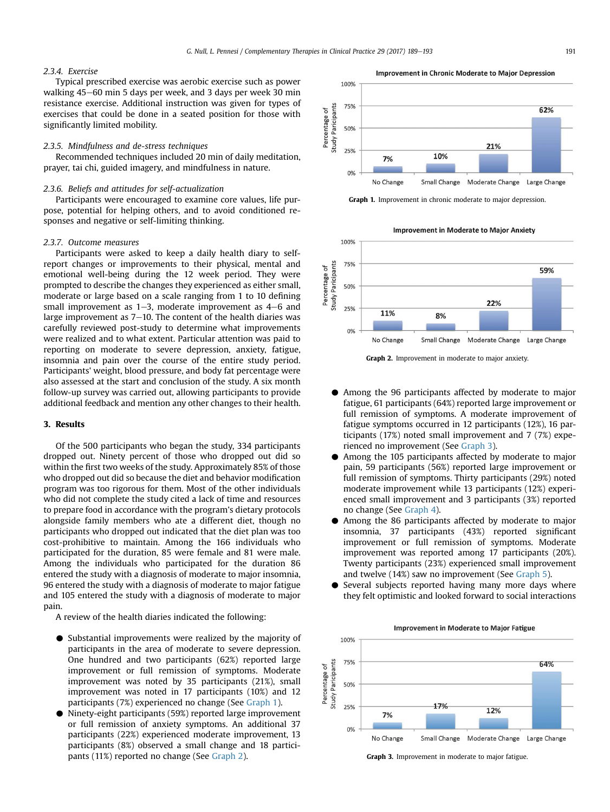## 2.3.4. Exercise

Typical prescribed exercise was aerobic exercise such as power walking 45-60 min 5 days per week, and 3 days per week 30 min resistance exercise. Additional instruction was given for types of exercises that could be done in a seated position for those with significantly limited mobility.

#### 2.3.5. Mindfulness and de-stress techniques

Recommended techniques included 20 min of daily meditation, prayer, tai chi, guided imagery, and mindfulness in nature.

#### 2.3.6. Beliefs and attitudes for self-actualization

Participants were encouraged to examine core values, life purpose, potential for helping others, and to avoid conditioned responses and negative or self-limiting thinking.

#### 2.3.7. Outcome measures

Participants were asked to keep a daily health diary to selfreport changes or improvements to their physical, mental and emotional well-being during the 12 week period. They were prompted to describe the changes they experienced as either small, moderate or large based on a scale ranging from 1 to 10 defining small improvement as  $1-3$ , moderate improvement as  $4-6$  and large improvement as  $7-10$ . The content of the health diaries was carefully reviewed post-study to determine what improvements were realized and to what extent. Particular attention was paid to reporting on moderate to severe depression, anxiety, fatigue, insomnia and pain over the course of the entire study period. Participants' weight, blood pressure, and body fat percentage were also assessed at the start and conclusion of the study. A six month follow-up survey was carried out, allowing participants to provide additional feedback and mention any other changes to their health.

#### 3. Results

Of the 500 participants who began the study, 334 participants dropped out. Ninety percent of those who dropped out did so within the first two weeks of the study. Approximately 85% of those who dropped out did so because the diet and behavior modification program was too rigorous for them. Most of the other individuals who did not complete the study cited a lack of time and resources to prepare food in accordance with the program's dietary protocols alongside family members who ate a different diet, though no participants who dropped out indicated that the diet plan was too cost-prohibitive to maintain. Among the 166 individuals who participated for the duration, 85 were female and 81 were male. Among the individuals who participated for the duration 86 entered the study with a diagnosis of moderate to major insomnia, 96 entered the study with a diagnosis of moderate to major fatigue and 105 entered the study with a diagnosis of moderate to major pain.

A review of the health diaries indicated the following:

- C Substantial improvements were realized by the majority of participants in the area of moderate to severe depression. One hundred and two participants (62%) reported large improvement or full remission of symptoms. Moderate improvement was noted by 35 participants (21%), small improvement was noted in 17 participants (10%) and 12 participants (7%) experienced no change (See Graph 1).
- C Ninety-eight participants (59%) reported large improvement or full remission of anxiety symptoms. An additional 37 participants (22%) experienced moderate improvement, 13 participants (8%) observed a small change and 18 participants (11%) reported no change (See Graph 2).





Graph 1. Improvement in chronic moderate to major depression.

**Improvement in Moderate to Major Anxiety** 



Graph 2. Improvement in moderate to major anxiety.

- C Among the 96 participants affected by moderate to major fatigue, 61 participants (64%) reported large improvement or full remission of symptoms. A moderate improvement of fatigue symptoms occurred in 12 participants (12%), 16 participants (17%) noted small improvement and 7 (7%) experienced no improvement (See Graph 3).
- Among the 105 participants affected by moderate to major pain, 59 participants (56%) reported large improvement or full remission of symptoms. Thirty participants (29%) noted moderate improvement while 13 participants (12%) experienced small improvement and 3 participants (3%) reported no change (See [Graph 4\)](#page-3-0).
- Among the 86 participants affected by moderate to major insomnia, 37 participants (43%) reported significant improvement or full remission of symptoms. Moderate improvement was reported among 17 participants (20%). Twenty participants (23%) experienced small improvement and twelve (14%) saw no improvement (See [Graph 5\)](#page-3-0).
- Several subjects reported having many more days where they felt optimistic and looked forward to social interactions



Graph 3. Improvement in moderate to major fatigue.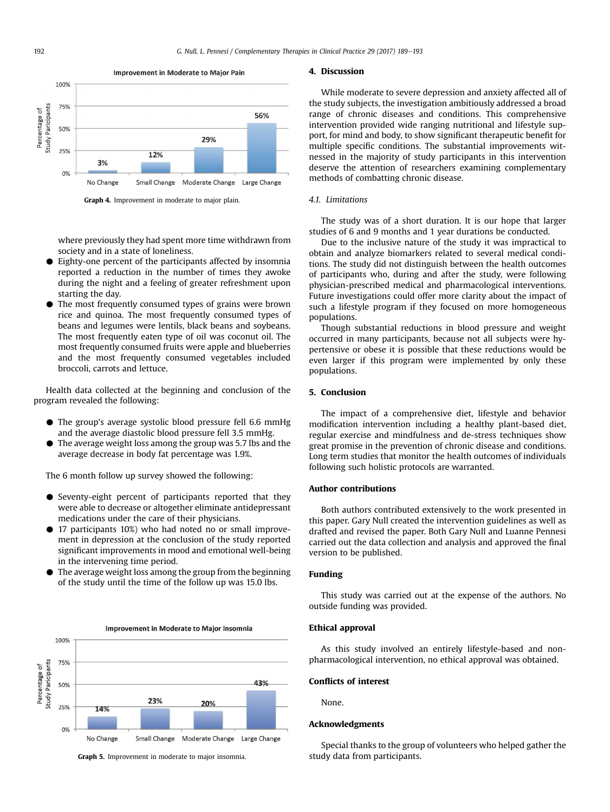<span id="page-3-0"></span>

Graph 4. Improvement in moderate to major plain.

where previously they had spent more time withdrawn from society and in a state of loneliness.

- Eighty-one percent of the participants affected by insomnia reported a reduction in the number of times they awoke during the night and a feeling of greater refreshment upon starting the day.
- The most frequently consumed types of grains were brown rice and quinoa. The most frequently consumed types of beans and legumes were lentils, black beans and soybeans. The most frequently eaten type of oil was coconut oil. The most frequently consumed fruits were apple and blueberries and the most frequently consumed vegetables included broccoli, carrots and lettuce.

Health data collected at the beginning and conclusion of the program revealed the following:

- $\bullet$  The group's average systolic blood pressure fell 6.6 mmHg and the average diastolic blood pressure fell 3.5 mmHg.
- The average weight loss among the group was 5.7 lbs and the average decrease in body fat percentage was 1.9%.

The 6 month follow up survey showed the following:

- $\bullet$  Seventy-eight percent of participants reported that they were able to decrease or altogether eliminate antidepressant medications under the care of their physicians.
- C 17 participants 10%) who had noted no or small improvement in depression at the conclusion of the study reported significant improvements in mood and emotional well-being in the intervening time period.
- $\bullet$  The average weight loss among the group from the beginning of the study until the time of the follow up was 15.0 lbs.



Graph 5. Improvement in moderate to major insomnia.

#### 4. Discussion

While moderate to severe depression and anxiety affected all of the study subjects, the investigation ambitiously addressed a broad range of chronic diseases and conditions. This comprehensive intervention provided wide ranging nutritional and lifestyle support, for mind and body, to show significant therapeutic benefit for multiple specific conditions. The substantial improvements witnessed in the majority of study participants in this intervention deserve the attention of researchers examining complementary methods of combatting chronic disease.

#### 4.1 Limitations

The study was of a short duration. It is our hope that larger studies of 6 and 9 months and 1 year durations be conducted.

Due to the inclusive nature of the study it was impractical to obtain and analyze biomarkers related to several medical conditions. The study did not distinguish between the health outcomes of participants who, during and after the study, were following physician-prescribed medical and pharmacological interventions. Future investigations could offer more clarity about the impact of such a lifestyle program if they focused on more homogeneous populations.

Though substantial reductions in blood pressure and weight occurred in many participants, because not all subjects were hypertensive or obese it is possible that these reductions would be even larger if this program were implemented by only these populations.

## 5. Conclusion

The impact of a comprehensive diet, lifestyle and behavior modification intervention including a healthy plant-based diet, regular exercise and mindfulness and de-stress techniques show great promise in the prevention of chronic disease and conditions. Long term studies that monitor the health outcomes of individuals following such holistic protocols are warranted.

## Author contributions

Both authors contributed extensively to the work presented in this paper. Gary Null created the intervention guidelines as well as drafted and revised the paper. Both Gary Null and Luanne Pennesi carried out the data collection and analysis and approved the final version to be published.

## Funding

This study was carried out at the expense of the authors. No outside funding was provided.

#### Ethical approval

As this study involved an entirely lifestyle-based and nonpharmacological intervention, no ethical approval was obtained.

#### Conflicts of interest

None.

## Acknowledgments

Special thanks to the group of volunteers who helped gather the study data from participants.

Improvement in Moderate to Major Pain